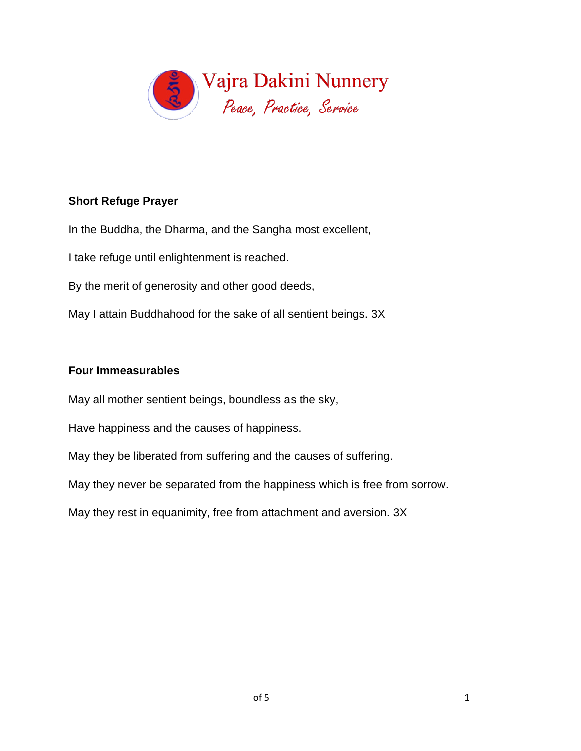

### **Short Refuge Prayer**

In the Buddha, the Dharma, and the Sangha most excellent,

I take refuge until enlightenment is reached.

By the merit of generosity and other good deeds,

May I attain Buddhahood for the sake of all sentient beings. 3X

## **Four Immeasurables**

May all mother sentient beings, boundless as the sky,

Have happiness and the causes of happiness.

May they be liberated from suffering and the causes of suffering.

May they never be separated from the happiness which is free from sorrow.

May they rest in equanimity, free from attachment and aversion. 3X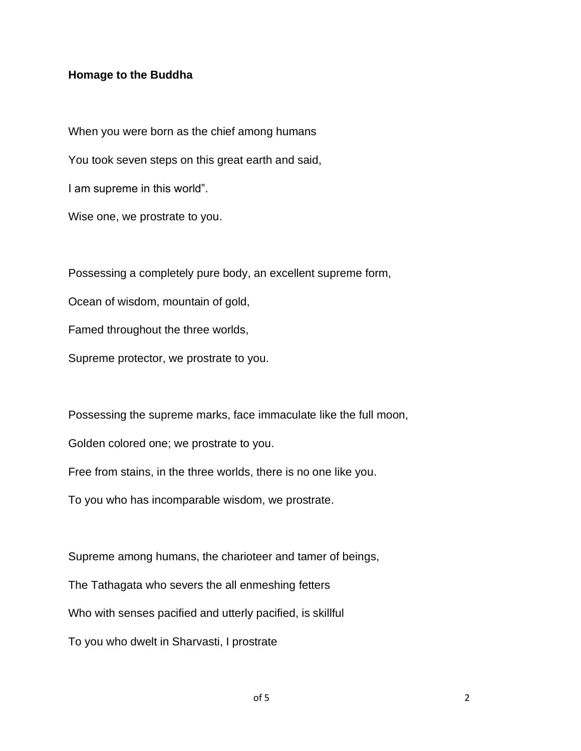#### **Homage to the Buddha**

When you were born as the chief among humans You took seven steps on this great earth and said, I am supreme in this world". Wise one, we prostrate to you.

Possessing a completely pure body, an excellent supreme form,

Ocean of wisdom, mountain of gold,

Famed throughout the three worlds,

Supreme protector, we prostrate to you.

Possessing the supreme marks, face immaculate like the full moon,

Golden colored one; we prostrate to you.

Free from stains, in the three worlds, there is no one like you.

To you who has incomparable wisdom, we prostrate.

Supreme among humans, the charioteer and tamer of beings,

The Tathagata who severs the all enmeshing fetters

Who with senses pacified and utterly pacified, is skillful

To you who dwelt in Sharvasti, I prostrate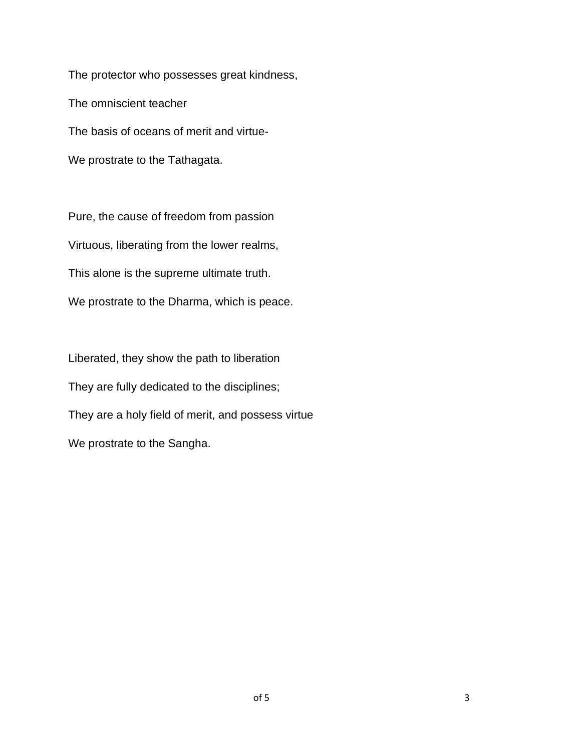The protector who possesses great kindness,

The omniscient teacher

The basis of oceans of merit and virtue-

We prostrate to the Tathagata.

Pure, the cause of freedom from passion Virtuous, liberating from the lower realms, This alone is the supreme ultimate truth. We prostrate to the Dharma, which is peace.

Liberated, they show the path to liberation They are fully dedicated to the disciplines; They are a holy field of merit, and possess virtue We prostrate to the Sangha.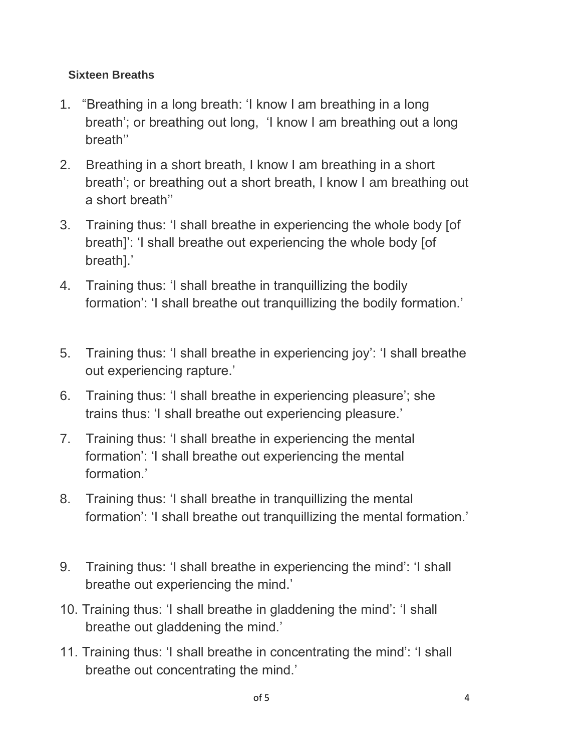## **Sixteen Breaths**

- 1. "Breathing in a long breath: 'I know I am breathing in a long breath'; or breathing out long, 'I know I am breathing out a long breath''
- 2. Breathing in a short breath, I know I am breathing in a short breath'; or breathing out a short breath, I know I am breathing out a short breath''
- 3. Training thus: 'I shall breathe in experiencing the whole body [of breath]': 'I shall breathe out experiencing the whole body [of breath].'
- 4. Training thus: 'I shall breathe in tranquillizing the bodily formation': 'I shall breathe out tranquillizing the bodily formation.'
- 5. Training thus: 'I shall breathe in experiencing joy': 'I shall breathe out experiencing rapture.'
- 6. Training thus: 'I shall breathe in experiencing pleasure'; she trains thus: 'I shall breathe out experiencing pleasure.'
- 7. Training thus: 'I shall breathe in experiencing the mental formation': 'I shall breathe out experiencing the mental formation.'
- 8. Training thus: 'I shall breathe in tranquillizing the mental formation': 'I shall breathe out tranquillizing the mental formation.'
- 9. Training thus: 'I shall breathe in experiencing the mind': 'I shall breathe out experiencing the mind.'
- 10. Training thus: 'I shall breathe in gladdening the mind': 'I shall breathe out gladdening the mind.'
- 11. Training thus: 'I shall breathe in concentrating the mind': 'I shall breathe out concentrating the mind.'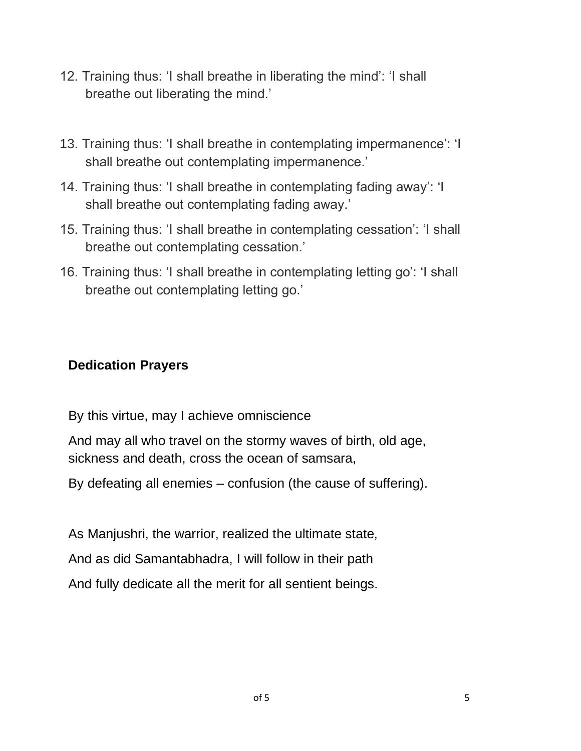- 12. Training thus: 'I shall breathe in liberating the mind': 'I shall breathe out liberating the mind.'
- 13. Training thus: 'I shall breathe in contemplating impermanence': 'I shall breathe out contemplating impermanence.'
- 14. Training thus: 'I shall breathe in contemplating fading away': 'I shall breathe out contemplating fading away.'
- 15. Training thus: 'I shall breathe in contemplating cessation': 'I shall breathe out contemplating cessation.'
- 16. Training thus: 'I shall breathe in contemplating letting go': 'I shall breathe out contemplating letting go.'

## **Dedication Prayers**

By this virtue, may I achieve omniscience

And may all who travel on the stormy waves of birth, old age, sickness and death, cross the ocean of samsara,

By defeating all enemies – confusion (the cause of suffering).

As Manjushri, the warrior, realized the ultimate state,

And as did Samantabhadra, I will follow in their path

And fully dedicate all the merit for all sentient beings.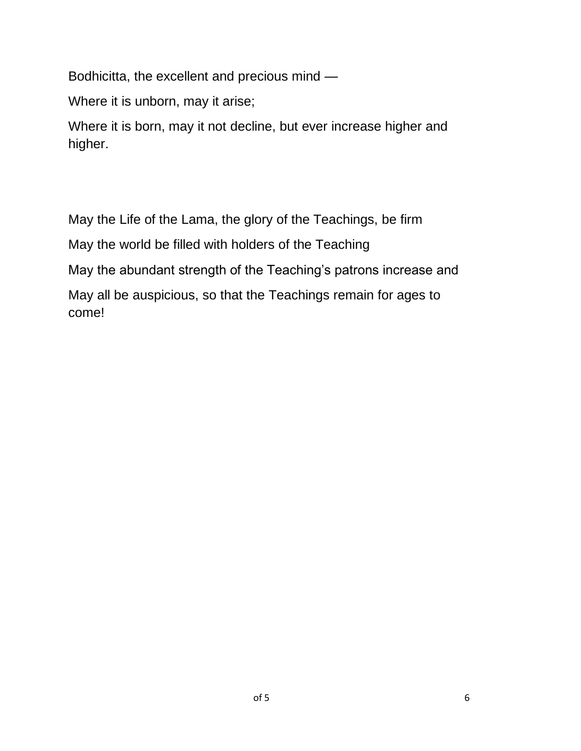Bodhicitta, the excellent and precious mind —

Where it is unborn, may it arise;

Where it is born, may it not decline, but ever increase higher and higher.

May the Life of the Lama, the glory of the Teachings, be firm

May the world be filled with holders of the Teaching

May the abundant strength of the Teaching's patrons increase and

May all be auspicious, so that the Teachings remain for ages to come!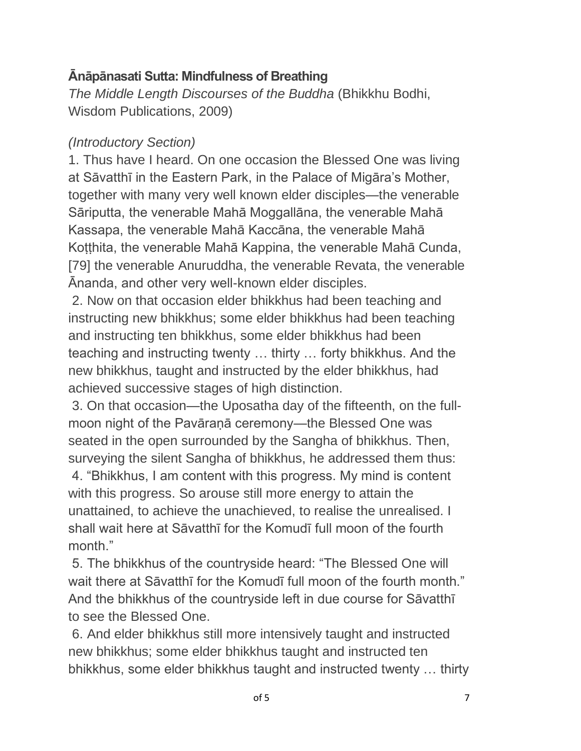# **Ānāpānasati Sutta: Mindfulness of Breathing**

*The Middle Length Discourses of the Buddha* (Bhikkhu Bodhi, Wisdom Publications, 2009)

# *(Introductory Section)*

1. Thus have I heard. On one occasion the Blessed One was living at Sāvatthī in the Eastern Park, in the Palace of Migāra's Mother, together with many very well known elder disciples—the venerable Sāriputta, the venerable Mahā Moggallāna, the venerable Mahā Kassapa, the venerable Mahā Kaccāna, the venerable Mahā Koṭṭhita, the venerable Mahā Kappina, the venerable Mahā Cunda, [79] the venerable Anuruddha, the venerable Revata, the venerable Ānanda, and other very well-known elder disciples.

2. Now on that occasion elder bhikkhus had been teaching and instructing new bhikkhus; some elder bhikkhus had been teaching and instructing ten bhikkhus, some elder bhikkhus had been teaching and instructing twenty … thirty … forty bhikkhus. And the new bhikkhus, taught and instructed by the elder bhikkhus, had achieved successive stages of high distinction.

3. On that occasion—the Uposatha day of the fifteenth, on the fullmoon night of the Pavāraṇā ceremony—the Blessed One was seated in the open surrounded by the Sangha of bhikkhus. Then, surveying the silent Sangha of bhikkhus, he addressed them thus:

4. "Bhikkhus, I am content with this progress. My mind is content with this progress. So arouse still more energy to attain the unattained, to achieve the unachieved, to realise the unrealised. I shall wait here at Sāvatthī for the Komudī full moon of the fourth month."

5. The bhikkhus of the countryside heard: "The Blessed One will wait there at Sāvatthī for the Komudī full moon of the fourth month." And the bhikkhus of the countryside left in due course for Sāvatthī to see the Blessed One.

6. And elder bhikkhus still more intensively taught and instructed new bhikkhus; some elder bhikkhus taught and instructed ten bhikkhus, some elder bhikkhus taught and instructed twenty … thirty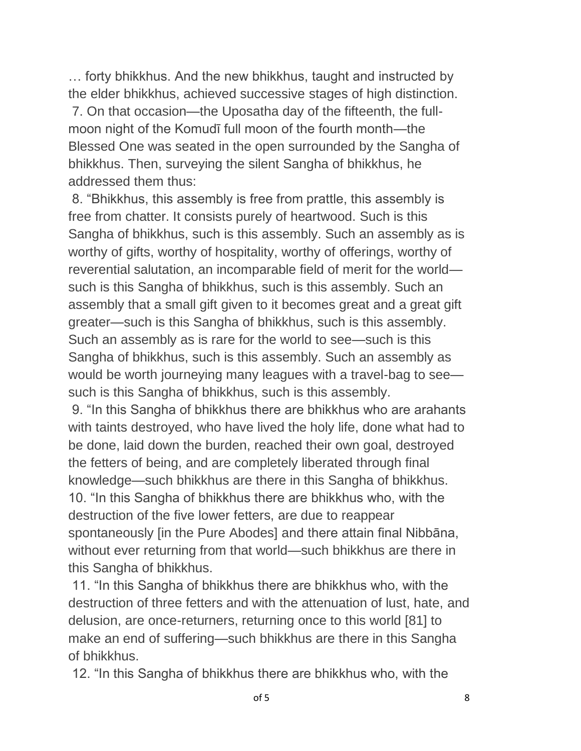… forty bhikkhus. And the new bhikkhus, taught and instructed by the elder bhikkhus, achieved successive stages of high distinction. 7. On that occasion—the Uposatha day of the fifteenth, the fullmoon night of the Komudī full moon of the fourth month—the Blessed One was seated in the open surrounded by the Sangha of bhikkhus. Then, surveying the silent Sangha of bhikkhus, he addressed them thus:

8. "Bhikkhus, this assembly is free from prattle, this assembly is free from chatter. It consists purely of heartwood. Such is this Sangha of bhikkhus, such is this assembly. Such an assembly as is worthy of gifts, worthy of hospitality, worthy of offerings, worthy of reverential salutation, an incomparable field of merit for the world such is this Sangha of bhikkhus, such is this assembly. Such an assembly that a small gift given to it becomes great and a great gift greater—such is this Sangha of bhikkhus, such is this assembly. Such an assembly as is rare for the world to see—such is this Sangha of bhikkhus, such is this assembly. Such an assembly as would be worth journeying many leagues with a travel-bag to see such is this Sangha of bhikkhus, such is this assembly.

9. "In this Sangha of bhikkhus there are bhikkhus who are arahants with taints destroyed, who have lived the holy life, done what had to be done, laid down the burden, reached their own goal, destroyed the fetters of being, and are completely liberated through final knowledge—such bhikkhus are there in this Sangha of bhikkhus. 10. "In this Sangha of bhikkhus there are bhikkhus who, with the destruction of the five lower fetters, are due to reappear spontaneously [in the Pure Abodes] and there attain final Nibbāna, without ever returning from that world—such bhikkhus are there in this Sangha of bhikkhus.

11. "In this Sangha of bhikkhus there are bhikkhus who, with the destruction of three fetters and with the attenuation of lust, hate, and delusion, are once-returners, returning once to this world [81] to make an end of suffering—such bhikkhus are there in this Sangha of bhikkhus.

12. "In this Sangha of bhikkhus there are bhikkhus who, with the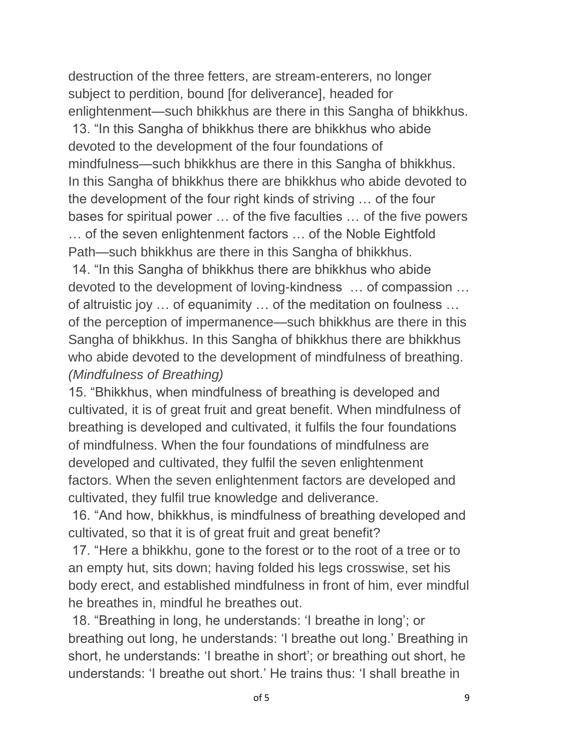destruction of the three fetters, are stream-enterers, no longer subject to perdition, bound [for deliverance], headed for enlightenment—such bhikkhus are there in this Sangha of bhikkhus.

13. "In this Sangha of bhikkhus there are bhikkhus who abide devoted to the development of the four foundations of mindfulness—such bhikkhus are there in this Sangha of bhikkhus. In this Sangha of bhikkhus there are bhikkhus who abide devoted to the development of the four right kinds of striving … of the four bases for spiritual power … of the five faculties … of the five powers … of the seven enlightenment factors … of the Noble Eightfold Path—such bhikkhus are there in this Sangha of bhikkhus.

14. "In this Sangha of bhikkhus there are bhikkhus who abide devoted to the development of loving-kindness … of compassion … of altruistic joy … of equanimity … of the meditation on foulness … of the perception of impermanence—such bhikkhus are there in this Sangha of bhikkhus. In this Sangha of bhikkhus there are bhikkhus who abide devoted to the development of mindfulness of breathing. *(Mindfulness of Breathing)*

15. "Bhikkhus, when mindfulness of breathing is developed and cultivated, it is of great fruit and great benefit. When mindfulness of breathing is developed and cultivated, it fulfils the four foundations of mindfulness. When the four foundations of mindfulness are developed and cultivated, they fulfil the seven enlightenment factors. When the seven enlightenment factors are developed and cultivated, they fulfil true knowledge and deliverance.

16. "And how, bhikkhus, is mindfulness of breathing developed and cultivated, so that it is of great fruit and great benefit?

17. "Here a bhikkhu, gone to the forest or to the root of a tree or to an empty hut, sits down; having folded his legs crosswise, set his body erect, and established mindfulness in front of him, ever mindful he breathes in, mindful he breathes out.

18. "Breathing in long, he understands: 'I breathe in long'; or breathing out long, he understands: 'I breathe out long.' Breathing in short, he understands: 'I breathe in short'; or breathing out short, he understands: 'I breathe out short.' He trains thus: 'I shall breathe in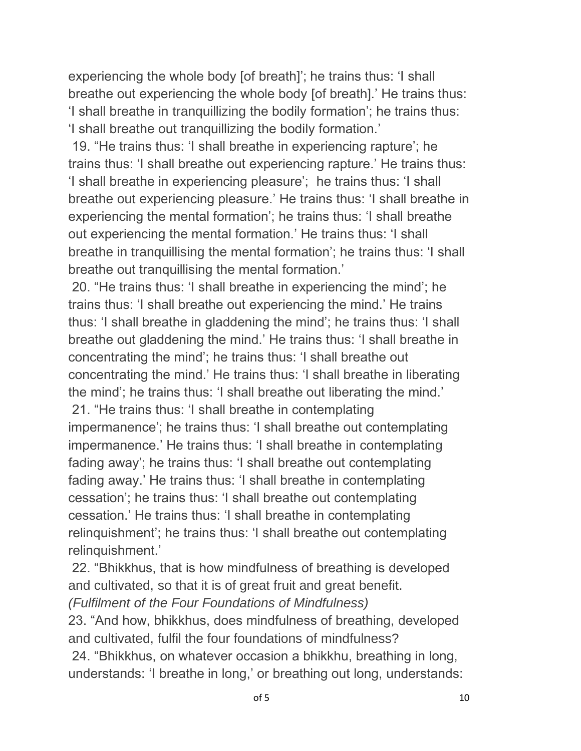experiencing the whole body [of breath]'; he trains thus: 'I shall breathe out experiencing the whole body [of breath].' He trains thus: 'I shall breathe in tranquillizing the bodily formation'; he trains thus: 'I shall breathe out tranquillizing the bodily formation.'

19. "He trains thus: 'I shall breathe in experiencing rapture'; he trains thus: 'I shall breathe out experiencing rapture.' He trains thus: 'I shall breathe in experiencing pleasure'; he trains thus: 'I shall breathe out experiencing pleasure.' He trains thus: 'I shall breathe in experiencing the mental formation'; he trains thus: 'I shall breathe out experiencing the mental formation.' He trains thus: 'I shall breathe in tranquillising the mental formation'; he trains thus: 'I shall breathe out tranquillising the mental formation.'

20. "He trains thus: 'I shall breathe in experiencing the mind'; he trains thus: 'I shall breathe out experiencing the mind.' He trains thus: 'I shall breathe in gladdening the mind'; he trains thus: 'I shall breathe out gladdening the mind.' He trains thus: 'I shall breathe in concentrating the mind'; he trains thus: 'I shall breathe out concentrating the mind.' He trains thus: 'I shall breathe in liberating the mind'; he trains thus: 'I shall breathe out liberating the mind.'

21. "He trains thus: 'I shall breathe in contemplating impermanence'; he trains thus: 'I shall breathe out contemplating impermanence.' He trains thus: 'I shall breathe in contemplating fading away'; he trains thus: 'I shall breathe out contemplating fading away.' He trains thus: 'I shall breathe in contemplating cessation'; he trains thus: 'I shall breathe out contemplating cessation.' He trains thus: 'I shall breathe in contemplating relinquishment'; he trains thus: 'I shall breathe out contemplating relinquishment.'

22. "Bhikkhus, that is how mindfulness of breathing is developed and cultivated, so that it is of great fruit and great benefit. *(Fulfilment of the Four Foundations of Mindfulness)*

23. "And how, bhikkhus, does mindfulness of breathing, developed and cultivated, fulfil the four foundations of mindfulness?

24. "Bhikkhus, on whatever occasion a bhikkhu, breathing in long, understands: 'I breathe in long,' or breathing out long, understands: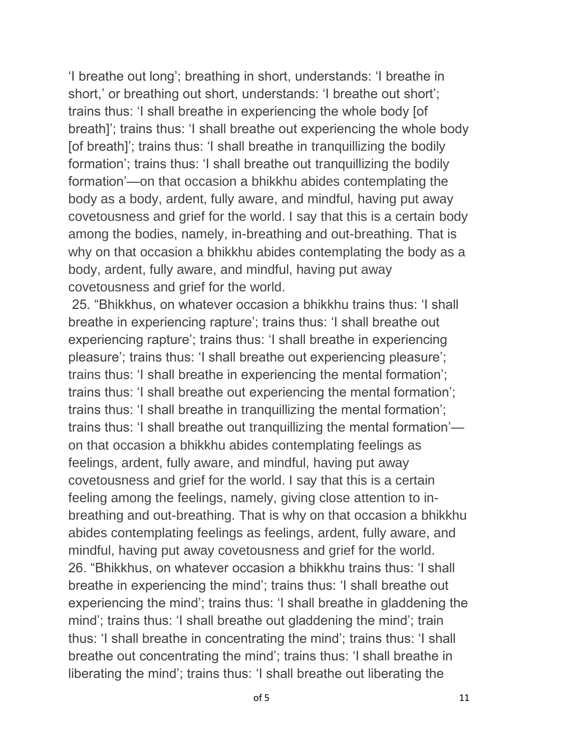'I breathe out long'; breathing in short, understands: 'I breathe in short,' or breathing out short, understands: 'I breathe out short'; trains thus: 'I shall breathe in experiencing the whole body [of breath]'; trains thus: 'I shall breathe out experiencing the whole body [of breath]'; trains thus: 'I shall breathe in tranquillizing the bodily formation'; trains thus: 'I shall breathe out tranquillizing the bodily formation'—on that occasion a bhikkhu abides contemplating the body as a body, ardent, fully aware, and mindful, having put away covetousness and grief for the world. I say that this is a certain body among the bodies, namely, in-breathing and out-breathing. That is why on that occasion a bhikkhu abides contemplating the body as a body, ardent, fully aware, and mindful, having put away covetousness and grief for the world.

25. "Bhikkhus, on whatever occasion a bhikkhu trains thus: 'I shall breathe in experiencing rapture'; trains thus: 'I shall breathe out experiencing rapture'; trains thus: 'I shall breathe in experiencing pleasure'; trains thus: 'I shall breathe out experiencing pleasure'; trains thus: 'I shall breathe in experiencing the mental formation'; trains thus: 'I shall breathe out experiencing the mental formation'; trains thus: 'I shall breathe in tranquillizing the mental formation'; trains thus: 'I shall breathe out tranquillizing the mental formation' on that occasion a bhikkhu abides contemplating feelings as feelings, ardent, fully aware, and mindful, having put away covetousness and grief for the world. I say that this is a certain feeling among the feelings, namely, giving close attention to inbreathing and out-breathing. That is why on that occasion a bhikkhu abides contemplating feelings as feelings, ardent, fully aware, and mindful, having put away covetousness and grief for the world. 26. "Bhikkhus, on whatever occasion a bhikkhu trains thus: 'I shall breathe in experiencing the mind'; trains thus: 'I shall breathe out experiencing the mind'; trains thus: 'I shall breathe in gladdening the mind'; trains thus: 'I shall breathe out gladdening the mind'; train thus: 'I shall breathe in concentrating the mind'; trains thus: 'I shall breathe out concentrating the mind'; trains thus: 'I shall breathe in liberating the mind'; trains thus: 'I shall breathe out liberating the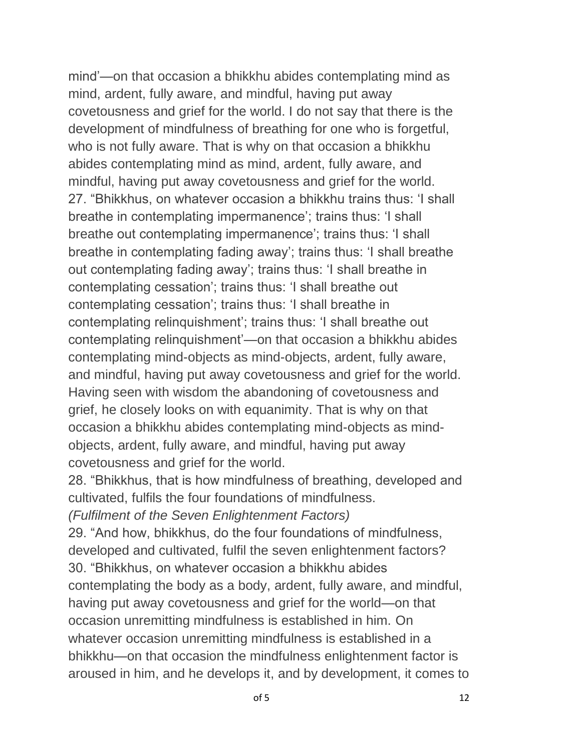mind'—on that occasion a bhikkhu abides contemplating mind as mind, ardent, fully aware, and mindful, having put away covetousness and grief for the world. I do not say that there is the development of mindfulness of breathing for one who is forgetful, who is not fully aware. That is why on that occasion a bhikkhu abides contemplating mind as mind, ardent, fully aware, and mindful, having put away covetousness and grief for the world. 27. "Bhikkhus, on whatever occasion a bhikkhu trains thus: 'I shall breathe in contemplating impermanence'; trains thus: 'I shall breathe out contemplating impermanence'; trains thus: 'I shall breathe in contemplating fading away'; trains thus: 'I shall breathe out contemplating fading away'; trains thus: 'I shall breathe in contemplating cessation'; trains thus: 'I shall breathe out contemplating cessation'; trains thus: 'I shall breathe in contemplating relinquishment'; trains thus: 'I shall breathe out contemplating relinquishment'—on that occasion a bhikkhu abides contemplating mind-objects as mind-objects, ardent, fully aware, and mindful, having put away covetousness and grief for the world. Having seen with wisdom the abandoning of covetousness and grief, he closely looks on with equanimity. That is why on that occasion a bhikkhu abides contemplating mind-objects as mindobjects, ardent, fully aware, and mindful, having put away covetousness and grief for the world.

28. "Bhikkhus, that is how mindfulness of breathing, developed and cultivated, fulfils the four foundations of mindfulness.

*(Fulfilment of the Seven Enlightenment Factors)*

29. "And how, bhikkhus, do the four foundations of mindfulness, developed and cultivated, fulfil the seven enlightenment factors? 30. "Bhikkhus, on whatever occasion a bhikkhu abides contemplating the body as a body, ardent, fully aware, and mindful, having put away covetousness and grief for the world—on that occasion unremitting mindfulness is established in him. On whatever occasion unremitting mindfulness is established in a bhikkhu—on that occasion the mindfulness enlightenment factor is aroused in him, and he develops it, and by development, it comes to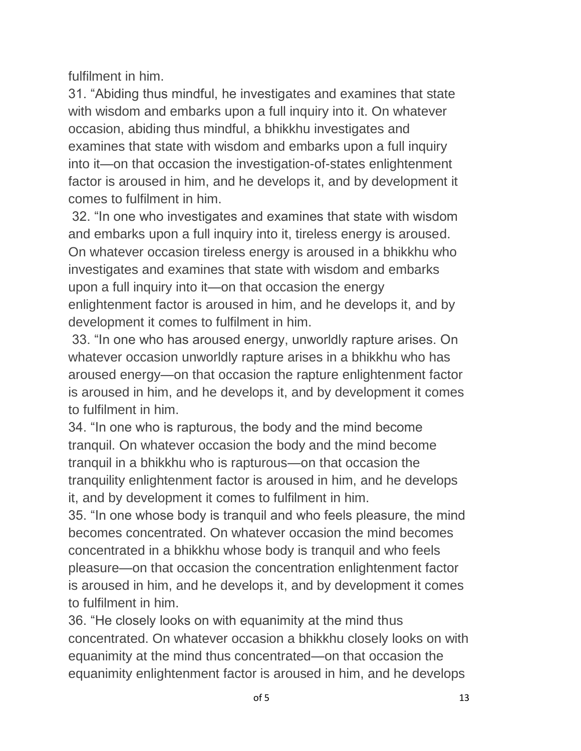fulfilment in him.

31. "Abiding thus mindful, he investigates and examines that state with wisdom and embarks upon a full inquiry into it. On whatever occasion, abiding thus mindful, a bhikkhu investigates and examines that state with wisdom and embarks upon a full inquiry into it—on that occasion the investigation-of-states enlightenment factor is aroused in him, and he develops it, and by development it comes to fulfilment in him.

32. "In one who investigates and examines that state with wisdom and embarks upon a full inquiry into it, tireless energy is aroused. On whatever occasion tireless energy is aroused in a bhikkhu who investigates and examines that state with wisdom and embarks upon a full inquiry into it—on that occasion the energy enlightenment factor is aroused in him, and he develops it, and by development it comes to fulfilment in him.

33. "In one who has aroused energy, unworldly rapture arises. On whatever occasion unworldly rapture arises in a bhikkhu who has aroused energy—on that occasion the rapture enlightenment factor is aroused in him, and he develops it, and by development it comes to fulfilment in him.

34. "In one who is rapturous, the body and the mind become tranquil. On whatever occasion the body and the mind become tranquil in a bhikkhu who is rapturous—on that occasion the tranquility enlightenment factor is aroused in him, and he develops it, and by development it comes to fulfilment in him.

35. "In one whose body is tranquil and who feels pleasure, the mind becomes concentrated. On whatever occasion the mind becomes concentrated in a bhikkhu whose body is tranquil and who feels pleasure—on that occasion the concentration enlightenment factor is aroused in him, and he develops it, and by development it comes to fulfilment in him.

36. "He closely looks on with equanimity at the mind thus concentrated. On whatever occasion a bhikkhu closely looks on with equanimity at the mind thus concentrated—on that occasion the equanimity enlightenment factor is aroused in him, and he develops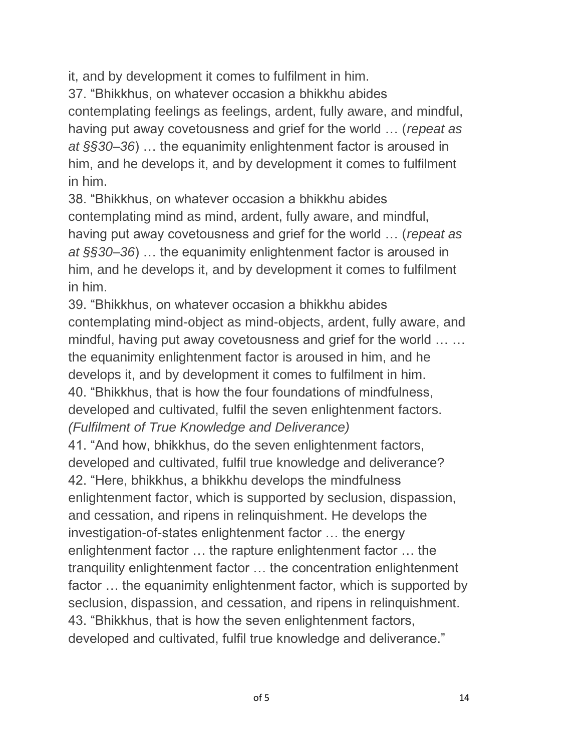it, and by development it comes to fulfilment in him.

37. "Bhikkhus, on whatever occasion a bhikkhu abides contemplating feelings as feelings, ardent, fully aware, and mindful, having put away covetousness and grief for the world … (*repeat as at §§30–36*) … the equanimity enlightenment factor is aroused in him, and he develops it, and by development it comes to fulfilment in him.

38. "Bhikkhus, on whatever occasion a bhikkhu abides contemplating mind as mind, ardent, fully aware, and mindful, having put away covetousness and grief for the world … (*repeat as at §§30–36*) … the equanimity enlightenment factor is aroused in him, and he develops it, and by development it comes to fulfilment in him.

39. "Bhikkhus, on whatever occasion a bhikkhu abides contemplating mind-object as mind-objects, ardent, fully aware, and mindful, having put away covetousness and grief for the world … … the equanimity enlightenment factor is aroused in him, and he develops it, and by development it comes to fulfilment in him. 40. "Bhikkhus, that is how the four foundations of mindfulness, developed and cultivated, fulfil the seven enlightenment factors. *(Fulfilment of True Knowledge and Deliverance)*

41. "And how, bhikkhus, do the seven enlightenment factors, developed and cultivated, fulfil true knowledge and deliverance? 42. "Here, bhikkhus, a bhikkhu develops the mindfulness enlightenment factor, which is supported by seclusion, dispassion, and cessation, and ripens in relinquishment. He develops the investigation-of-states enlightenment factor … the energy enlightenment factor … the rapture enlightenment factor … the tranquility enlightenment factor … the concentration enlightenment factor … the equanimity enlightenment factor, which is supported by seclusion, dispassion, and cessation, and ripens in relinquishment. 43. "Bhikkhus, that is how the seven enlightenment factors, developed and cultivated, fulfil true knowledge and deliverance."